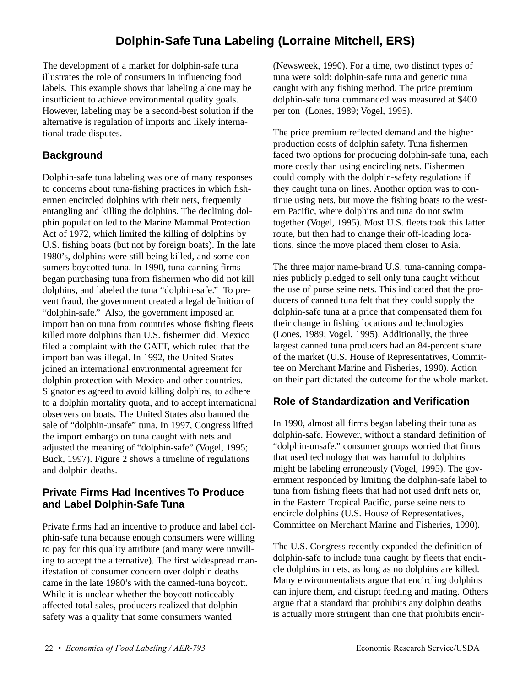# **Dolphin-Safe Tuna Labeling (Lorraine Mitchell, ERS)**

The development of a market for dolphin-safe tuna illustrates the role of consumers in influencing food labels. This example shows that labeling alone may be insufficient to achieve environmental quality goals. However, labeling may be a second-best solution if the alternative is regulation of imports and likely international trade disputes.

# **Background**

Dolphin-safe tuna labeling was one of many responses to concerns about tuna-fishing practices in which fishermen encircled dolphins with their nets, frequently entangling and killing the dolphins. The declining dolphin population led to the Marine Mammal Protection Act of 1972, which limited the killing of dolphins by U.S. fishing boats (but not by foreign boats). In the late 1980's, dolphins were still being killed, and some consumers boycotted tuna. In 1990, tuna-canning firms began purchasing tuna from fishermen who did not kill dolphins, and labeled the tuna "dolphin-safe." To prevent fraud, the government created a legal definition of "dolphin-safe." Also, the government imposed an import ban on tuna from countries whose fishing fleets killed more dolphins than U.S. fishermen did. Mexico filed a complaint with the GATT, which ruled that the import ban was illegal. In 1992, the United States joined an international environmental agreement for dolphin protection with Mexico and other countries. Signatories agreed to avoid killing dolphins, to adhere to a dolphin mortality quota, and to accept international observers on boats. The United States also banned the sale of "dolphin-unsafe" tuna. In 1997, Congress lifted the import embargo on tuna caught with nets and adjusted the meaning of "dolphin-safe" (Vogel, 1995; Buck, 1997). Figure 2 shows a timeline of regulations and dolphin deaths.

## **Private Firms Had Incentives To Produce and Label Dolphin-Safe Tuna**

Private firms had an incentive to produce and label dolphin-safe tuna because enough consumers were willing to pay for this quality attribute (and many were unwilling to accept the alternative). The first widespread manifestation of consumer concern over dolphin deaths came in the late 1980's with the canned-tuna boycott. While it is unclear whether the boycott noticeably affected total sales, producers realized that dolphinsafety was a quality that some consumers wanted

(Newsweek, 1990). For a time, two distinct types of tuna were sold: dolphin-safe tuna and generic tuna caught with any fishing method. The price premium dolphin-safe tuna commanded was measured at \$400 per ton (Lones, 1989; Vogel, 1995).

The price premium reflected demand and the higher production costs of dolphin safety. Tuna fishermen faced two options for producing dolphin-safe tuna, each more costly than using encircling nets. Fishermen could comply with the dolphin-safety regulations if they caught tuna on lines. Another option was to continue using nets, but move the fishing boats to the western Pacific, where dolphins and tuna do not swim together (Vogel, 1995). Most U.S. fleets took this latter route, but then had to change their off-loading locations, since the move placed them closer to Asia.

The three major name-brand U.S. tuna-canning companies publicly pledged to sell only tuna caught without the use of purse seine nets. This indicated that the producers of canned tuna felt that they could supply the dolphin-safe tuna at a price that compensated them for their change in fishing locations and technologies (Lones, 1989; Vogel, 1995). Additionally, the three largest canned tuna producers had an 84-percent share of the market (U.S. House of Representatives, Committee on Merchant Marine and Fisheries, 1990). Action on their part dictated the outcome for the whole market.

## **Role of Standardization and Verification**

In 1990, almost all firms began labeling their tuna as dolphin-safe. However, without a standard definition of "dolphin-unsafe," consumer groups worried that firms that used technology that was harmful to dolphins might be labeling erroneously (Vogel, 1995). The government responded by limiting the dolphin-safe label to tuna from fishing fleets that had not used drift nets or, in the Eastern Tropical Pacific, purse seine nets to encircle dolphins (U.S. House of Representatives, Committee on Merchant Marine and Fisheries, 1990).

The U.S. Congress recently expanded the definition of dolphin-safe to include tuna caught by fleets that encircle dolphins in nets, as long as no dolphins are killed. Many environmentalists argue that encircling dolphins can injure them, and disrupt feeding and mating. Others argue that a standard that prohibits any dolphin deaths is actually more stringent than one that prohibits encir-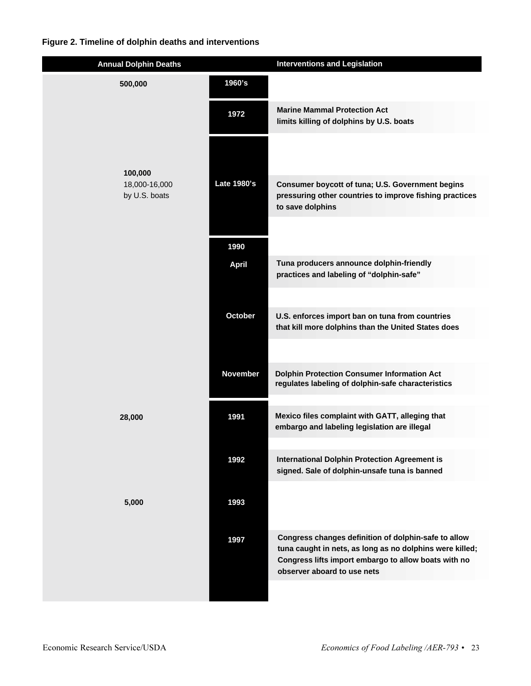#### **Figure 2. Timeline of dolphin deaths and interventions**

| <b>Annual Dolphin Deaths</b>   |                 | <b>Interventions and Legislation</b>                                                                                                                                                                    |
|--------------------------------|-----------------|---------------------------------------------------------------------------------------------------------------------------------------------------------------------------------------------------------|
| 500,000                        | 1960's          |                                                                                                                                                                                                         |
|                                | 1972            | <b>Marine Mammal Protection Act</b><br>limits killing of dolphins by U.S. boats                                                                                                                         |
|                                |                 |                                                                                                                                                                                                         |
| 100,000                        | Late 1980's     |                                                                                                                                                                                                         |
| 18,000-16,000<br>by U.S. boats |                 | Consumer boycott of tuna; U.S. Government begins<br>pressuring other countries to improve fishing practices<br>to save dolphins                                                                         |
|                                |                 |                                                                                                                                                                                                         |
|                                | 1990            |                                                                                                                                                                                                         |
|                                | <b>April</b>    | Tuna producers announce dolphin-friendly<br>practices and labeling of "dolphin-safe"                                                                                                                    |
|                                |                 |                                                                                                                                                                                                         |
|                                | October         | U.S. enforces import ban on tuna from countries<br>that kill more dolphins than the United States does                                                                                                  |
|                                |                 |                                                                                                                                                                                                         |
|                                | <b>November</b> | <b>Dolphin Protection Consumer Information Act</b><br>regulates labeling of dolphin-safe characteristics                                                                                                |
| 28,000                         | 1991            | Mexico files complaint with GATT, alleging that<br>embargo and labeling legislation are illegal                                                                                                         |
|                                |                 |                                                                                                                                                                                                         |
|                                | 1992            | <b>International Dolphin Protection Agreement is</b><br>signed. Sale of dolphin-unsafe tuna is banned                                                                                                   |
|                                |                 |                                                                                                                                                                                                         |
| 5,000                          | 1993            |                                                                                                                                                                                                         |
|                                | 1997            | Congress changes definition of dolphin-safe to allow<br>tuna caught in nets, as long as no dolphins were killed;<br>Congress lifts import embargo to allow boats with no<br>observer aboard to use nets |
|                                |                 |                                                                                                                                                                                                         |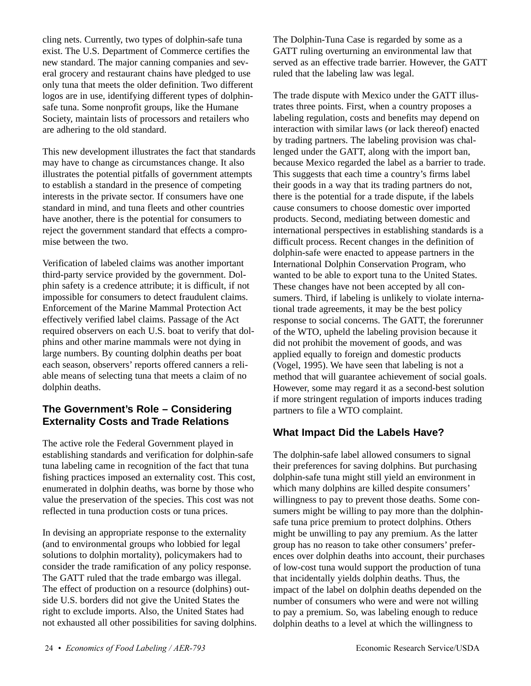cling nets. Currently, two types of dolphin-safe tuna exist. The U.S. Department of Commerce certifies the new standard. The major canning companies and several grocery and restaurant chains have pledged to use only tuna that meets the older definition. Two different logos are in use, identifying different types of dolphinsafe tuna. Some nonprofit groups, like the Humane Society, maintain lists of processors and retailers who are adhering to the old standard.

This new development illustrates the fact that standards may have to change as circumstances change. It also illustrates the potential pitfalls of government attempts to establish a standard in the presence of competing interests in the private sector. If consumers have one standard in mind, and tuna fleets and other countries have another, there is the potential for consumers to reject the government standard that effects a compromise between the two.

Verification of labeled claims was another important third-party service provided by the government. Dolphin safety is a credence attribute; it is difficult, if not impossible for consumers to detect fraudulent claims. Enforcement of the Marine Mammal Protection Act effectively verified label claims. Passage of the Act required observers on each U.S. boat to verify that dolphins and other marine mammals were not dying in large numbers. By counting dolphin deaths per boat each season, observers' reports offered canners a reliable means of selecting tuna that meets a claim of no dolphin deaths.

#### **The Government's Role – Considering Externality Costs and Trade Relations**

The active role the Federal Government played in establishing standards and verification for dolphin-safe tuna labeling came in recognition of the fact that tuna fishing practices imposed an externality cost. This cost, enumerated in dolphin deaths, was borne by those who value the preservation of the species. This cost was not reflected in tuna production costs or tuna prices.

In devising an appropriate response to the externality (and to environmental groups who lobbied for legal solutions to dolphin mortality), policymakers had to consider the trade ramification of any policy response. The GATT ruled that the trade embargo was illegal. The effect of production on a resource (dolphins) outside U.S. borders did not give the United States the right to exclude imports. Also, the United States had not exhausted all other possibilities for saving dolphins. The Dolphin-Tuna Case is regarded by some as a GATT ruling overturning an environmental law that served as an effective trade barrier. However, the GATT ruled that the labeling law was legal.

The trade dispute with Mexico under the GATT illustrates three points. First, when a country proposes a labeling regulation, costs and benefits may depend on interaction with similar laws (or lack thereof) enacted by trading partners. The labeling provision was challenged under the GATT, along with the import ban, because Mexico regarded the label as a barrier to trade. This suggests that each time a country's firms label their goods in a way that its trading partners do not, there is the potential for a trade dispute, if the labels cause consumers to choose domestic over imported products. Second, mediating between domestic and international perspectives in establishing standards is a difficult process. Recent changes in the definition of dolphin-safe were enacted to appease partners in the International Dolphin Conservation Program, who wanted to be able to export tuna to the United States. These changes have not been accepted by all consumers. Third, if labeling is unlikely to violate international trade agreements, it may be the best policy response to social concerns. The GATT, the forerunner of the WTO, upheld the labeling provision because it did not prohibit the movement of goods, and was applied equally to foreign and domestic products (Vogel, 1995). We have seen that labeling is not a method that will guarantee achievement of social goals. However, some may regard it as a second-best solution if more stringent regulation of imports induces trading partners to file a WTO complaint.

## **What Impact Did the Labels Have?**

The dolphin-safe label allowed consumers to signal their preferences for saving dolphins. But purchasing dolphin-safe tuna might still yield an environment in which many dolphins are killed despite consumers' willingness to pay to prevent those deaths. Some consumers might be willing to pay more than the dolphinsafe tuna price premium to protect dolphins. Others might be unwilling to pay any premium. As the latter group has no reason to take other consumers' preferences over dolphin deaths into account, their purchases of low-cost tuna would support the production of tuna that incidentally yields dolphin deaths. Thus, the impact of the label on dolphin deaths depended on the number of consumers who were and were not willing to pay a premium. So, was labeling enough to reduce dolphin deaths to a level at which the willingness to